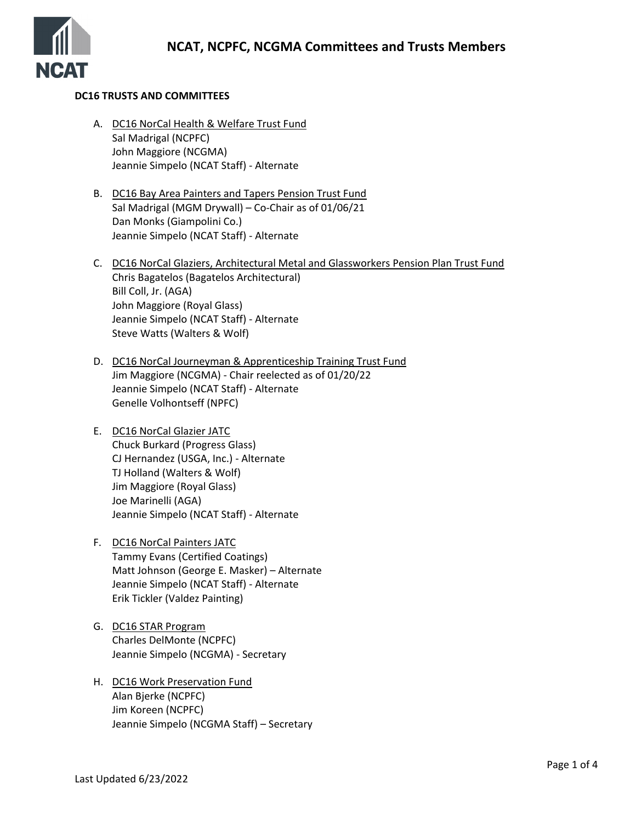

## **DC16 TRUSTS AND COMMITTEES**

- A. DC16 NorCal Health & Welfare Trust Fund Sal Madrigal (NCPFC) John Maggiore (NCGMA) Jeannie Simpelo (NCAT Staff) - Alternate
- B. DC16 Bay Area Painters and Tapers Pension Trust Fund Sal Madrigal (MGM Drywall) – Co-Chair as of 01/06/21 Dan Monks (Giampolini Co.) Jeannie Simpelo (NCAT Staff) - Alternate
- C. DC16 NorCal Glaziers, Architectural Metal and Glassworkers Pension Plan Trust Fund Chris Bagatelos (Bagatelos Architectural) Bill Coll, Jr. (AGA) John Maggiore (Royal Glass) Jeannie Simpelo (NCAT Staff) - Alternate Steve Watts (Walters & Wolf)
- D. DC16 NorCal Journeyman & Apprenticeship Training Trust Fund Jim Maggiore (NCGMA) - Chair reelected as of 01/20/22 Jeannie Simpelo (NCAT Staff) - Alternate Genelle Volhontseff (NPFC)
- E. DC16 NorCal Glazier JATC Chuck Burkard (Progress Glass) CJ Hernandez (USGA, Inc.) - Alternate TJ Holland (Walters & Wolf) Jim Maggiore (Royal Glass) Joe Marinelli (AGA) Jeannie Simpelo (NCAT Staff) - Alternate
- F. DC16 NorCal Painters JATC Tammy Evans (Certified Coatings) Matt Johnson (George E. Masker) – Alternate Jeannie Simpelo (NCAT Staff) - Alternate Erik Tickler (Valdez Painting)
- G. DC16 STAR Program Charles DelMonte (NCPFC) Jeannie Simpelo (NCGMA) - Secretary
- H. DC16 Work Preservation Fund Alan Bjerke (NCPFC) Jim Koreen (NCPFC) Jeannie Simpelo (NCGMA Staff) – Secretary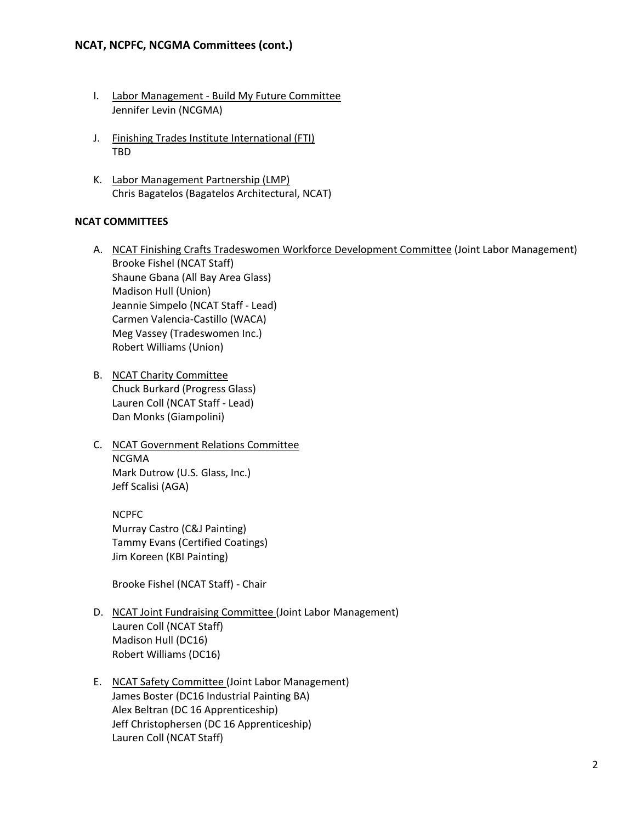# **NCAT, NCPFC, NCGMA Committees (cont.)**

- I. Labor Management Build My Future Committee Jennifer Levin (NCGMA)
- J. Finishing Trades Institute International (FTI) TBD
- K. Labor Management Partnership (LMP) Chris Bagatelos (Bagatelos Architectural, NCAT)

## **NCAT COMMITTEES**

- A. NCAT Finishing Crafts Tradeswomen Workforce Development Committee (Joint Labor Management) Brooke Fishel (NCAT Staff) Shaune Gbana (All Bay Area Glass) Madison Hull (Union) Jeannie Simpelo (NCAT Staff - Lead) Carmen Valencia-Castillo (WACA) Meg Vassey (Tradeswomen Inc.) Robert Williams (Union)
- B. NCAT Charity Committee Chuck Burkard (Progress Glass) Lauren Coll (NCAT Staff - Lead) Dan Monks (Giampolini)
- C. NCAT Government Relations Committee NCGMA Mark Dutrow (U.S. Glass, Inc.) Jeff Scalisi (AGA)

NCPFC Murray Castro (C&J Painting) Tammy Evans (Certified Coatings) Jim Koreen (KBI Painting)

Brooke Fishel (NCAT Staff) - Chair

- D. NCAT Joint Fundraising Committee (Joint Labor Management) Lauren Coll (NCAT Staff) Madison Hull (DC16) Robert Williams (DC16)
- E. NCAT Safety Committee (Joint Labor Management) James Boster (DC16 Industrial Painting BA) Alex Beltran (DC 16 Apprenticeship) Jeff Christophersen (DC 16 Apprenticeship) Lauren Coll (NCAT Staff)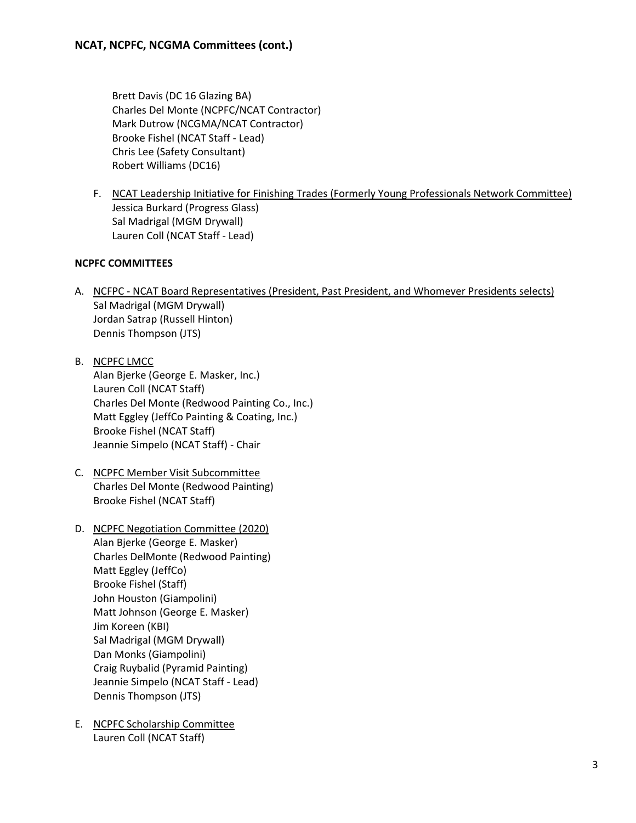Brett Davis (DC 16 Glazing BA) Charles Del Monte (NCPFC/NCAT Contractor) Mark Dutrow (NCGMA/NCAT Contractor) Brooke Fishel (NCAT Staff - Lead) Chris Lee (Safety Consultant) Robert Williams (DC16)

F. NCAT Leadership Initiative for Finishing Trades (Formerly Young Professionals Network Committee) Jessica Burkard (Progress Glass) Sal Madrigal (MGM Drywall) Lauren Coll (NCAT Staff - Lead)

# **NCPFC COMMITTEES**

- A. NCFPC NCAT Board Representatives (President, Past President, and Whomever Presidents selects) Sal Madrigal (MGM Drywall) Jordan Satrap (Russell Hinton) Dennis Thompson (JTS)
- B. NCPFC LMCC Alan Bjerke (George E. Masker, Inc.) Lauren Coll (NCAT Staff) Charles Del Monte (Redwood Painting Co., Inc.) Matt Eggley (JeffCo Painting & Coating, Inc.) Brooke Fishel (NCAT Staff) Jeannie Simpelo (NCAT Staff) - Chair
- C. NCPFC Member Visit Subcommittee Charles Del Monte (Redwood Painting) Brooke Fishel (NCAT Staff)
- D. NCPFC Negotiation Committee (2020) Alan Bjerke (George E. Masker) Charles DelMonte (Redwood Painting) Matt Eggley (JeffCo) Brooke Fishel (Staff) John Houston (Giampolini) Matt Johnson (George E. Masker) Jim Koreen (KBI) Sal Madrigal (MGM Drywall) Dan Monks (Giampolini) Craig Ruybalid (Pyramid Painting) Jeannie Simpelo (NCAT Staff - Lead) Dennis Thompson (JTS)
- E. NCPFC Scholarship Committee Lauren Coll (NCAT Staff)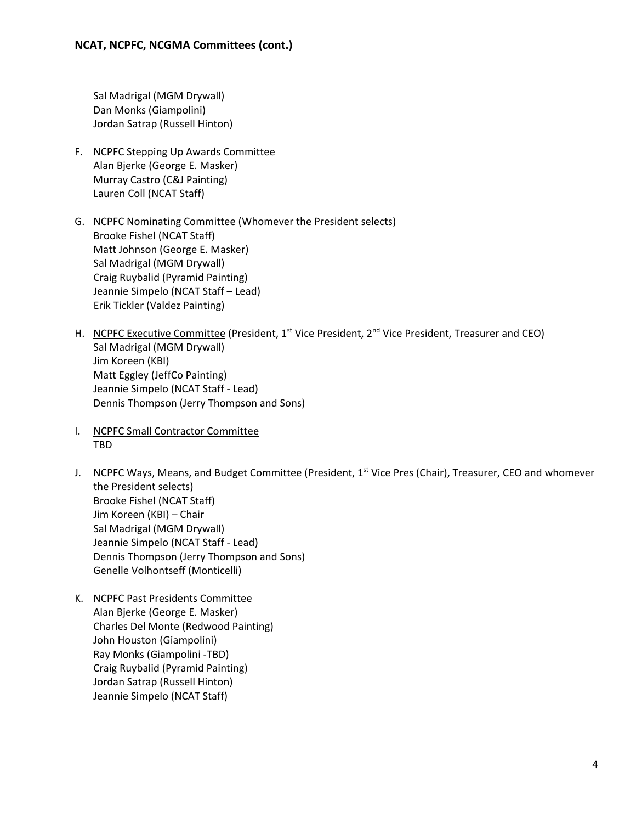Sal Madrigal (MGM Drywall) Dan Monks (Giampolini) Jordan Satrap (Russell Hinton)

- F. NCPFC Stepping Up Awards Committee Alan Bjerke (George E. Masker) Murray Castro (C&J Painting) Lauren Coll (NCAT Staff)
- G. NCPFC Nominating Committee (Whomever the President selects) Brooke Fishel (NCAT Staff) Matt Johnson (George E. Masker) Sal Madrigal (MGM Drywall) Craig Ruybalid (Pyramid Painting) Jeannie Simpelo (NCAT Staff – Lead) Erik Tickler (Valdez Painting)
- H. NCPFC Executive Committee (President,  $1^{st}$  Vice President,  $2^{nd}$  Vice President, Treasurer and CEO) Sal Madrigal (MGM Drywall) Jim Koreen (KBI) Matt Eggley (JeffCo Painting) Jeannie Simpelo (NCAT Staff - Lead) Dennis Thompson (Jerry Thompson and Sons)
- I. NCPFC Small Contractor Committee TBD
- J. NCPFC Ways, Means, and Budget Committee (President,  $1<sup>st</sup>$  Vice Pres (Chair), Treasurer, CEO and whomever the President selects) Brooke Fishel (NCAT Staff) Jim Koreen (KBI) – Chair Sal Madrigal (MGM Drywall) Jeannie Simpelo (NCAT Staff - Lead) Dennis Thompson (Jerry Thompson and Sons) Genelle Volhontseff (Monticelli)
- K. NCPFC Past Presidents Committee Alan Bjerke (George E. Masker) Charles Del Monte (Redwood Painting) John Houston (Giampolini) Ray Monks (Giampolini -TBD) Craig Ruybalid (Pyramid Painting) Jordan Satrap (Russell Hinton) Jeannie Simpelo (NCAT Staff)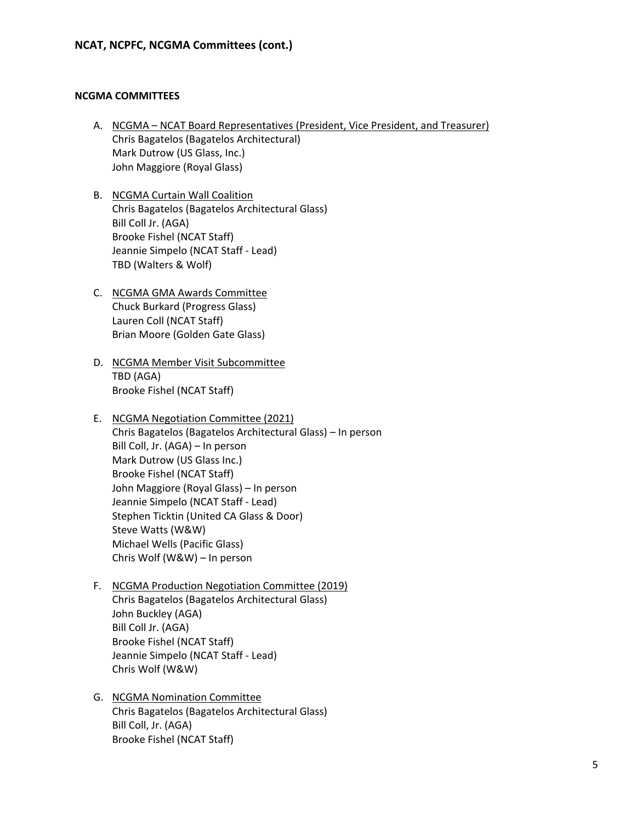## **NCGMA COMMITTEES**

- A. NCGMA NCAT Board Representatives (President, Vice President, and Treasurer) Chris Bagatelos (Bagatelos Architectural) Mark Dutrow (US Glass, Inc.) John Maggiore (Royal Glass)
- B. NCGMA Curtain Wall Coalition Chris Bagatelos (Bagatelos Architectural Glass) Bill Coll Jr. (AGA) Brooke Fishel (NCAT Staff) Jeannie Simpelo (NCAT Staff - Lead) TBD (Walters & Wolf)
- C. NCGMA GMA Awards Committee Chuck Burkard (Progress Glass) Lauren Coll (NCAT Staff) Brian Moore (Golden Gate Glass)
- D. NCGMA Member Visit Subcommittee TBD (AGA) Brooke Fishel (NCAT Staff)
- E. NCGMA Negotiation Committee (2021) Chris Bagatelos (Bagatelos Architectural Glass) – In person Bill Coll, Jr. (AGA) – In person Mark Dutrow (US Glass Inc.) Brooke Fishel (NCAT Staff) John Maggiore (Royal Glass) – In person Jeannie Simpelo (NCAT Staff - Lead) Stephen Ticktin (United CA Glass & Door) Steve Watts (W&W) Michael Wells (Pacific Glass) Chris Wolf (W&W) – In person
- F. NCGMA Production Negotiation Committee (2019) Chris Bagatelos (Bagatelos Architectural Glass) John Buckley (AGA) Bill Coll Jr. (AGA) Brooke Fishel (NCAT Staff) Jeannie Simpelo (NCAT Staff - Lead) Chris Wolf (W&W)
- G. NCGMA Nomination Committee Chris Bagatelos (Bagatelos Architectural Glass) Bill Coll, Jr. (AGA) Brooke Fishel (NCAT Staff)